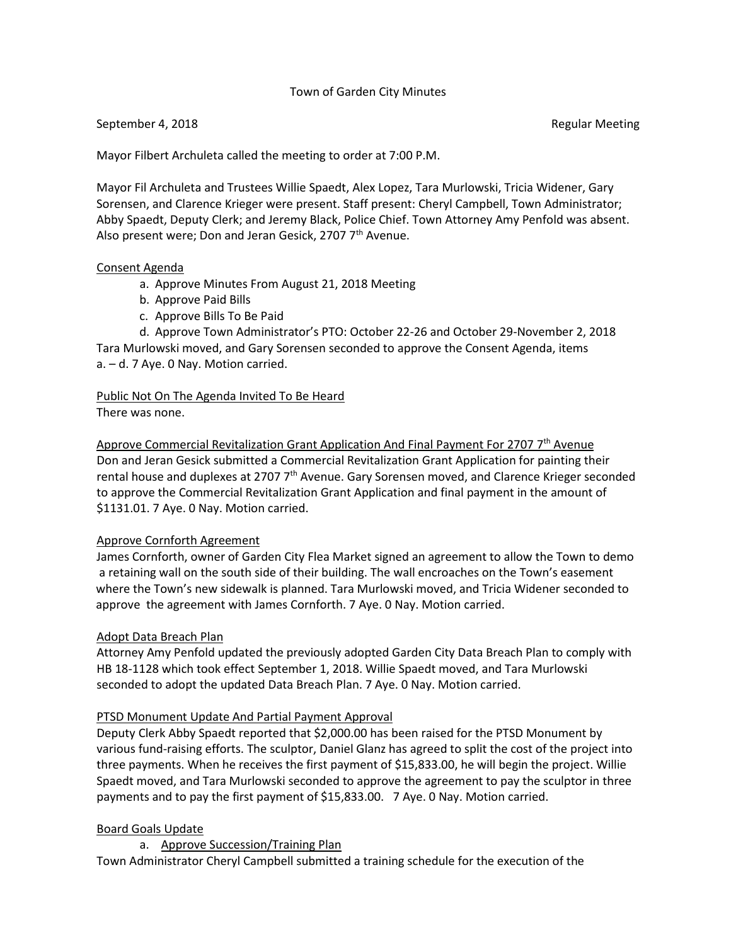## Town of Garden City Minutes

### September 4, 2018 **Regular Meeting** September 4, 2018

Mayor Filbert Archuleta called the meeting to order at 7:00 P.M.

Mayor Fil Archuleta and Trustees Willie Spaedt, Alex Lopez, Tara Murlowski, Tricia Widener, Gary Sorensen, and Clarence Krieger were present. Staff present: Cheryl Campbell, Town Administrator; Abby Spaedt, Deputy Clerk; and Jeremy Black, Police Chief. Town Attorney Amy Penfold was absent. Also present were; Don and Jeran Gesick, 2707 7<sup>th</sup> Avenue.

### Consent Agenda

- a. Approve Minutes From August 21, 2018 Meeting
- b. Approve Paid Bills
- c. Approve Bills To Be Paid

d. Approve Town Administrator's PTO: October 22-26 and October 29-November 2, 2018 Tara Murlowski moved, and Gary Sorensen seconded to approve the Consent Agenda, items a. – d. 7 Aye. 0 Nay. Motion carried.

Public Not On The Agenda Invited To Be Heard There was none.

Approve Commercial Revitalization Grant Application And Final Payment For 2707  $7<sup>th</sup>$  Avenue Don and Jeran Gesick submitted a Commercial Revitalization Grant Application for painting their rental house and duplexes at 2707  $7<sup>th</sup>$  Avenue. Gary Sorensen moved, and Clarence Krieger seconded to approve the Commercial Revitalization Grant Application and final payment in the amount of \$1131.01. 7 Aye. 0 Nay. Motion carried.

### Approve Cornforth Agreement

 James Cornforth, owner of Garden City Flea Market signed an agreement to allow the Town to demo a retaining wall on the south side of their building. The wall encroaches on the Town's easement where the Town's new sidewalk is planned. Tara Murlowski moved, and Tricia Widener seconded to approve the agreement with James Cornforth. 7 Aye. 0 Nay. Motion carried.

### Adopt Data Breach Plan

 Attorney Amy Penfold updated the previously adopted Garden City Data Breach Plan to comply with HB 18-1128 which took effect September 1, 2018. Willie Spaedt moved, and Tara Murlowski seconded to adopt the updated Data Breach Plan. 7 Aye. 0 Nay. Motion carried.

### PTSD Monument Update And Partial Payment Approval

 Deputy Clerk Abby Spaedt reported that \$2,000.00 has been raised for the PTSD Monument by various fund-raising efforts. The sculptor, Daniel Glanz has agreed to split the cost of the project into three payments. When he receives the first payment of \$15,833.00, he will begin the project. Willie Spaedt moved, and Tara Murlowski seconded to approve the agreement to pay the sculptor in three payments and to pay the first payment of \$15,833.00. 7 Aye. 0 Nay. Motion carried.

## Board Goals Update

a. Approve Succession/Training Plan

Town Administrator Cheryl Campbell submitted a training schedule for the execution of the